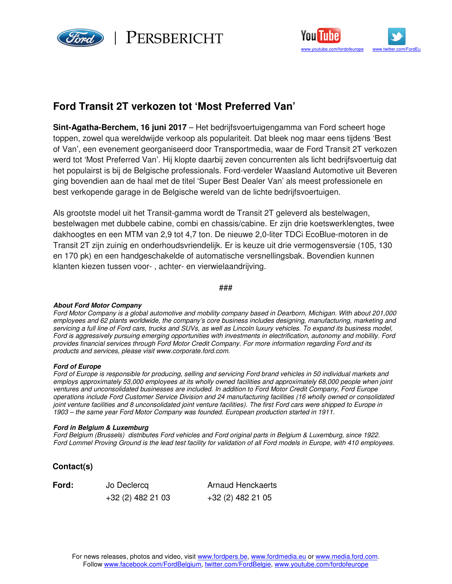

PERSBERICHT



## **Ford Transit 2T verkozen tot 'Most Preferred Van'**

**Sint-Agatha-Berchem, 16 juni 2017** – Het bedrijfsvoertuigengamma van Ford scheert hoge toppen, zowel qua wereldwijde verkoop als populariteit. Dat bleek nog maar eens tijdens 'Best of Van', een evenement georganiseerd door Transportmedia, waar de Ford Transit 2T verkozen werd tot 'Most Preferred Van'. Hij klopte daarbij zeven concurrenten als licht bedrijfsvoertuig dat het populairst is bij de Belgische professionals. Ford-verdeler Waasland Automotive uit Beveren ging bovendien aan de haal met de titel 'Super Best Dealer Van' als meest professionele en best verkopende garage in de Belgische wereld van de lichte bedrijfsvoertuigen.

Als grootste model uit het Transit-gamma wordt de Transit 2T geleverd als bestelwagen, bestelwagen met dubbele cabine, combi en chassis/cabine. Er zijn drie koetswerklengtes, twee dakhoogtes en een MTM van 2,9 tot 4,7 ton. De nieuwe 2,0-liter TDCi EcoBlue-motoren in de Transit 2T zijn zuinig en onderhoudsvriendelijk. Er is keuze uit drie vermogensversie (105, 130 en 170 pk) en een handgeschakelde of automatische versnellingsbak. Bovendien kunnen klanten kiezen tussen voor- , achter- en vierwielaandrijving.

###

## **About Ford Motor Company**

Ford Motor Company is a global automotive and mobility company based in Dearborn, Michigan. With about 201,000 employees and 62 plants worldwide, the company's core business includes designing, manufacturing, marketing and servicing a full line of Ford cars, trucks and SUVs, as well as Lincoln luxury vehicles. To expand its business model, Ford is aggressively pursuing emerging opportunities with investments in electrification, autonomy and mobility. Ford provides financial services through Ford Motor Credit Company. For more information regarding Ford and its products and services, please visit www.corporate.ford.com.

## **Ford of Europe**

Ford of Europe is responsible for producing, selling and servicing Ford brand vehicles in 50 individual markets and employs approximately 53,000 employees at its wholly owned facilities and approximately 68,000 people when joint ventures and unconsolidated businesses are included. In addition to Ford Motor Credit Company, Ford Europe operations include Ford Customer Service Division and 24 manufacturing facilities (16 wholly owned or consolidated joint venture facilities and 8 unconsolidated joint venture facilities). The first Ford cars were shipped to Europe in 1903 – the same year Ford Motor Company was founded. European production started in 1911.

## **Ford in Belgium & Luxemburg**

Ford Belgium (Brussels) distributes Ford vehicles and Ford original parts in Belgium & Luxemburg, since 1922. Ford Lommel Proving Ground is the lead test facility for validation of all Ford models in Europe, with 410 employees.

**Contact(s)**

**Ford:** Jo Declercq

Arnaud Henckaerts +32 (2) 482 21 03 +32 (2) 482 21 05